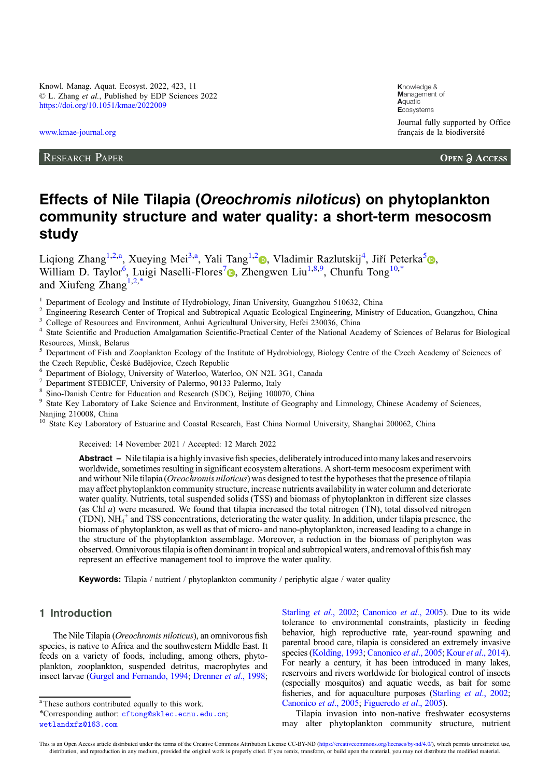Knowl. Manag. Aquat. Ecosyst. 2022, 423, 11 © L. Zhang et al., Published by EDP Sciences 2022 <https://doi.org/10.1051/kmae/2022009>

[www.kmae-journal.org](https://www.kmae-journal.org)

RESEARCH PAPER

**K**nowledge & **M**anagement of **A**quatic **E**cosystems Journal fully supported by Office français de la biodiversité

**OPEN A ACCESS** 

# Effects of Nile Tilapia (Oreochromis niloticus) on phytoplankton community structure and water quality: a short-term mesocosm study

Liqiong Zhang<sup>1[,](https://orcid.org/0000-0002-5553-4267)2,a</sup>, Xueying Mei<sup>3,a</sup>, Yali Tang<sup>1,2</sup><sup>0</sup>, Vladimir Razlutskij<sup>4</sup>, Jiří Peterka<sup>[5](https://orcid.org/0000-0001-5935-4311)</sup><sup>0</sup>, William D. Taylor<sup>6</sup>, Luigi Naselli-Flores<sup>7</sup><sup>®</sup>, Zhengwen Liu<sup>1,8,9</sup>, Chunfu Tong<sup>10,\*</sup> and Xiufeng Zhang<sup>1,2,\*</sup>

<sup>1</sup> Department of Ecology and Institute of Hydrobiology, Jinan University, Guangzhou 510632, China<br><sup>2</sup> Engineering Research Center of Tropical and Subtropical Aquatic Ecological Engineering, Ministry of Education, Guangzh

Resources, Minsk, Belarus

<sup>5</sup> Department of Fish and Zooplankton Ecology of the Institute of Hydrobiology, Biology Centre of the Czech Academy of Sciences of the Czech Republic, České Budějovice, Czech Republic<br>
<sup>6</sup> Department of Biology, University of Waterloo, Waterloo, ON N2L 3G1, Canada<br>
<sup>7</sup> Department STEBICEF, University of Palermo, 90133 Palermo, Italy<br>
<sup>8</sup> Sino-Danish C

Nanjing 210008, China

<sup>10</sup> State Key Laboratory of Estuarine and Coastal Research, East China Normal University, Shanghai 200062, China

Received: 14 November 2021 / Accepted: 12 March 2022

Abstract – Niletilapia is a highly invasive fish species, deliberately introduced into many lakes and reservoirs worldwide, sometimes resulting in significant ecosystem alterations. A short-term mesocosm experiment with and without Nile tilapia (*Oreochromis niloticus*) was designed to test the hypotheses that the presence of tilapia may affect phytoplankton community structure, increase nutrients availability in water column and deteriorate water quality. Nutrients, total suspended solids (TSS) and biomass of phytoplankton in different size classes (as Chl a) were measured. We found that tilapia increased the total nitrogen (TN), total dissolved nitrogen  $(TDN)$ ,  $NH_4^+$  and TSS concentrations, deteriorating the water quality. In addition, under tilapia presence, the biomass of phytoplankton, as well as that of micro- and nano-phytoplankton, increased leading to a change in the structure of the phytoplankton assemblage. Moreover, a reduction in the biomass of periphyton was observed. Omnivorous tilapia is often dominant in tropical and subtropical waters, and removal of this fish may represent an effective management tool to improve the water quality.

Keywords: Tilapia / nutrient / phytoplankton community / periphytic algae / water quality

# 1 Introduction

The Nile Tilapia (Oreochromis niloticus), an omnivorous fish species, is native to Africa and the southwestern Middle East. It feeds on a variety of foods, including, among others, phytoplankton, zooplankton, suspended detritus, macrophytes and insect larvae [\(Gurgel and Fernando, 1994;](#page-6-0) [Drenner](#page-5-0) et al., 1998;

[Starling](#page-6-0) et al., 2002; [Canonico](#page-5-0) et al., 2005). Due to its wide tolerance to environmental constraints, plasticity in feeding behavior, high reproductive rate, year-round spawning and parental brood care, tilapia is considered an extremely invasive species [\(Kolding, 1993](#page-6-0); [Canonico](#page-5-0) et al., 2005; Kour et al[., 2014](#page-6-0)). For nearly a century, it has been introduced in many lakes, reservoirs and rivers worldwide for biological control of insects (especially mosquitos) and aquatic weeds, as bait for some fisheries, and for aquaculture purposes [\(Starling](#page-6-0) et al., 2002; [Canonico](#page-5-0) et al., 2005; [Figueredo](#page-5-0) et al., 2005).

Tilapia invasion into non-native freshwater ecosystems may alter phytoplankton community structure, nutrient

<sup>&</sup>lt;sup>a</sup> These authors contributed equally to this work.

<sup>\*</sup>Corresponding author: [cftong@sklec.ecnu.edu.cn](mailto:cftong@sklec.ecnu.edu.cn); [wetlandxfz@163.com](mailto:wetlandxfz@163.com)

This is an Open Access article distributed under the terms of the Creative Commons Attribution License CC-BY-ND ([https://creativecommons.org/licenses/by-nd/4.0/\)](https://creativecommons.org/licenses/by-nd/4.0/), which permits unrestricted use, distribution, and reproduction in any medium, provided the original work is properly cited. If you remix, transform, or build upon the material, you may not distribute the modified material.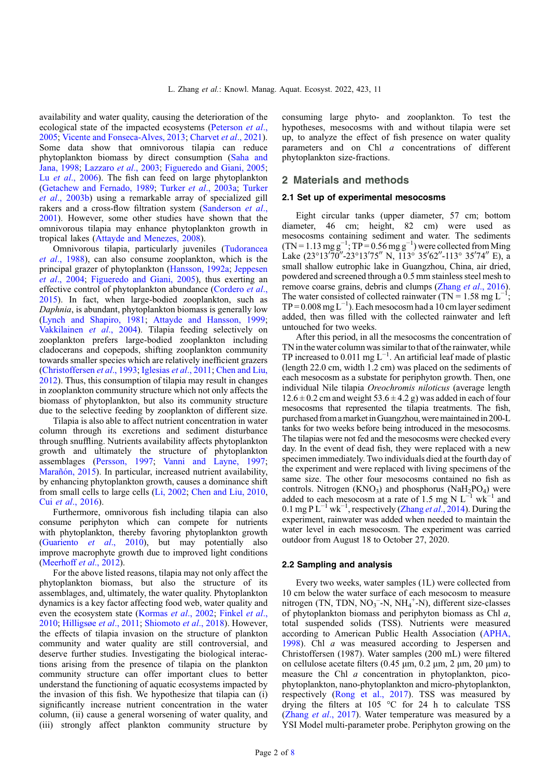availability and water quality, causing the deterioration of the ecological state of the impacted ecosystems ([Peterson](#page-6-0) et al., [2005](#page-6-0); [Vicente and Fonseca-Alves, 2013;](#page-7-0) [Charvet](#page-5-0) et al., 2021). Some data show that omnivorous tilapia can reduce phytoplankton biomass by direct consumption [\(Saha and](#page-6-0) [Jana, 1998;](#page-6-0) [Lazzaro](#page-6-0) et al., 2003; [Figueredo and Giani, 2005](#page-5-0); Lu et al[., 2006](#page-6-0)). The fish can feed on large phytoplankton ([Getachew and Fernado, 1989;](#page-5-0) Turker et al[., 2003a](#page-7-0); [Turker](#page-6-0) et al[., 2003b\)](#page-6-0) using a remarkable array of specialized gill rakers and a cross-flow filtration system [\(Sanderson](#page-6-0) et al., [2001](#page-6-0)). However, some other studies have shown that the omnivorous tilapia may enhance phytoplankton growth in tropical lakes [\(Attayde and Menezes, 2008](#page-5-0)).

Omnivorous tilapia, particularly juveniles [\(Tudorancea](#page-6-0) et al[., 1988\)](#page-6-0), can also consume zooplankton, which is the principal grazer of phytoplankton ([Hansson, 1992a](#page-6-0); [Jeppesen](#page-6-0) et al[., 2004](#page-6-0); [Figueredo and Giani, 2005\)](#page-5-0), thus exerting an effective control of phytoplankton abundance ([Cordero](#page-5-0) et al., [2015](#page-5-0)). In fact, when large-bodied zooplankton, such as Daphnia, is abundant, phytoplankton biomass is generally low ([Lynch and Shapiro, 1981](#page-6-0); [Attayde and Hansson, 1999](#page-5-0); [Vakkilainen](#page-7-0) et al., 2004). Tilapia feeding selectively on zooplankton prefers large-bodied zooplankton including cladocerans and copepods, shifting zooplankton community towards smaller species which are relatively inefficient grazers ([Christoffersen](#page-5-0) et al., 1993; [Iglesias](#page-6-0) et al., 2011; [Chen and Liu,](#page-5-0) [2012](#page-5-0)). Thus, this consumption of tilapia may result in changes in zooplankton community structure which not only affects the biomass of phytoplankton, but also its community structure due to the selective feeding by zooplankton of different size.

Tilapia is also able to affect nutrient concentration in water column through its excretions and sediment disturbance through snuffling. Nutrients availability affects phytoplankton growth and ultimately the structure of phytoplankton assemblages [\(Persson, 1997;](#page-6-0) [Vanni and Layne, 1997](#page-7-0); [Marañón, 2015](#page-6-0)). In particular, increased nutrient availability, by enhancing phytoplankton growth, causes a dominance shift from small cells to large cells ([Li, 2002;](#page-6-0) [Chen and Liu, 2010](#page-5-0), Cui et al[., 2016\)](#page-5-0).

Furthermore, omnivorous fish including tilapia can also consume periphyton which can compete for nutrients with phytoplankton, thereby favoring phytoplankton growth ([Guariento](#page-6-0) et al., 2010), but may potentially also improve macrophyte growth due to improved light conditions ([Meerhoff](#page-6-0) *et al.*, 2012).

For the above listed reasons, tilapia may not only affect the phytoplankton biomass, but also the structure of its assemblages, and, ultimately, the water quality. Phytoplankton dynamics is a key factor affecting food web, water quality and even the ecosystem state [\(Kormas](#page-6-0) *et al.*, 2002; [Finkel](#page-5-0) *et al.*, [2010](#page-5-0); [Hilligsøe](#page-6-0) et al., 2011; [Shiomoto](#page-6-0) et al., 2018). However, the effects of tilapia invasion on the structure of plankton community and water quality are still controversial, and deserve further studies. Investigating the biological interactions arising from the presence of tilapia on the plankton community structure can offer important clues to better understand the functioning of aquatic ecosystems impacted by the invasion of this fish. We hypothesize that tilapia can (i) significantly increase nutrient concentration in the water column, (ii) cause a general worsening of water quality, and (iii) strongly affect plankton community structure by

consuming large phyto- and zooplankton. To test the hypotheses, mesocosms with and without tilapia were set up, to analyze the effect of fish presence on water quality parameters and on Chl a concentrations of different phytoplankton size-fractions.

### 2 Materials and methods

#### 2.1 Set up of experimental mesocosms

Eight circular tanks (upper diameter, 57 cm; bottom diameter, 46 cm; height, 82 cm) were used as mesocosms containing sediment and water. The sediments  $(TN = 1.13 \text{ mg g}^{-1}$ ;  $TP = 0.56 \text{ mg g}^{-1}$ ) were collected from Ming Lake  $(23^{\circ}13'70'' - 23^{\circ}13'75''$  N,  $113^{\circ}35'62'' - 113^{\circ}35'74''$  E), a small shallow eutrophic lake in Guangzhou, China, air dried, powdered and screened through a 0.5 mm stainless steel mesh to remove coarse grains, debris and clumps (Zhang et al[., 2016](#page-7-0)). The water consisted of collected rainwater (TN =  $1.58 \text{ mg L}^{-1}$ ) ;  $TP = 0.008$  mg L<sup>-1</sup>). Each mesocosm had a 10 cm layer sediment added, then was filled with the collected rainwater and left untouched for two weeks.

After this period, in all the mesocosms the concentration of TN in the water column was similar to that of the rainwater, while TP increased to 0.011 mg  $L^{-1}$ . An artificial leaf made of plastic (length 22.0 cm, width 1.2 cm) was placed on the sediments of each mesocosm as a substate for periphyton growth. Then, one individual Nile tilapia Oreochromis niloticus (average length  $12.6 \pm 0.2$  cm and weight  $53.6 \pm 4.2$  g) was added in each of four mesocosms that represented the tilapia treatments. The fish, purchased from a market in Guangzhou, were maintained in 200-L tanks for two weeks before being introduced in the mesocosms. The tilapias were not fed and the mesocosms were checked every day. In the event of dead fish, they were replaced with a new specimen immediately. Two individuals died at the fourth day of the experiment and were replaced with living specimens of the same size. The other four mesocosms contained no fish as controls. Nitrogen  $(KNO<sub>3</sub>)$  and phosphorus  $(NaH<sub>2</sub>PO<sub>4</sub>)$  were added to each mesocosm at a rate of 1.5 mg N  $L^{-1}$  wk<sup>-1</sup> and 0.1 mg P L<sup>-1</sup> wk<sup>-1</sup>, respectively (Zhang *et al.*, 2014). During the experiment, rainwater was added when needed to maintain the water level in each mesocosm. The experiment was carried outdoor from August 18 to October 27, 2020.

#### 2.2 Sampling and analysis

Every two weeks, water samples (1L) were collected from 10 cm below the water surface of each mesocosm to measure nitrogen (TN, TDN, NO<sub>3</sub><sup>-</sup>-N, NH<sub>4</sub><sup>+</sup>-N), different size-classes of phytoplankton biomass and periphyton biomass as Chl  $a$ , total suspended solids (TSS). Nutrients were measured according to American Public Health Association [\(APHA,](#page-5-0) [1998](#page-5-0)). Chl a was measured according to Jespersen and Christoffersen (1987). Water samples (200 mL) were filtered on cellulose acetate filters  $(0.45 \text{ µm}, 0.2 \text{ µm}, 2 \text{ µm}, 20 \text{ µm})$  to measure the Chl a concentration in phytoplankton, picophytoplankton, nano-phytoplankton and micro-phytoplankton, respectively ([Rong et al., 2017\)](#page-6-0). TSS was measured by drying the filters at 105 °C for 24 h to calculate TSS (Zhang *et al.*, 2017). Water temperature was measured by a YSI Model multi-parameter probe. Periphyton growing on the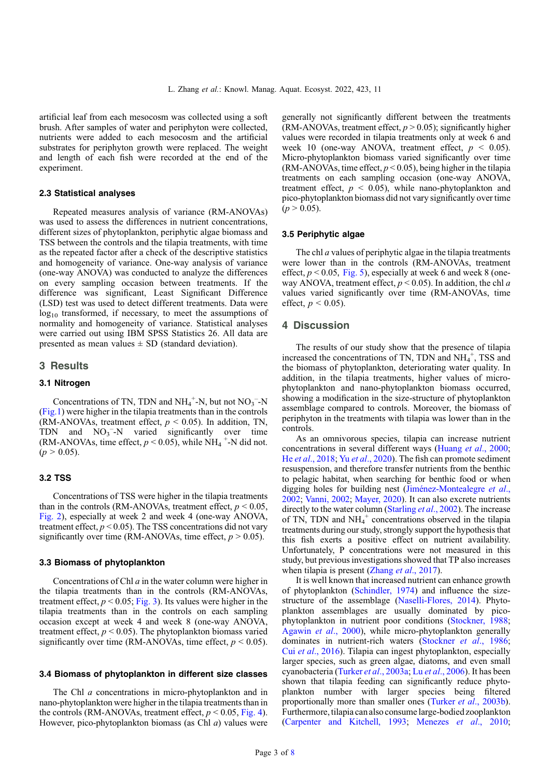artificial leaf from each mesocosm was collected using a soft brush. After samples of water and periphyton were collected, nutrients were added to each mesocosm and the artificial substrates for periphyton growth were replaced. The weight and length of each fish were recorded at the end of the experiment.

#### 2.3 Statistical analyses

Repeated measures analysis of variance (RM-ANOVAs) was used to assess the differences in nutrient concentrations, different sizes of phytoplankton, periphytic algae biomass and TSS between the controls and the tilapia treatments, with time as the repeated factor after a check of the descriptive statistics and homogeneity of variance. One-way analysis of variance (one-way ANOVA) was conducted to analyze the differences on every sampling occasion between treatments. If the difference was significant, Least Significant Difference (LSD) test was used to detect different treatments. Data were  $log_{10}$  transformed, if necessary, to meet the assumptions of normality and homogeneity of variance. Statistical analyses were carried out using IBM SPSS Statistics 26. All data are presented as mean values  $\pm$  SD (standard deviation).

# 3 Results

#### 3.1 Nitrogen

Concentrations of TN, TDN and  $NH_4^+$ -N, but not  $NO_3^-$ -N ([Fig.1\)](#page-3-0) were higher in the tilapia treatments than in the controls (RM-ANOVAs, treatment effect,  $p \le 0.05$ ). In addition, TN, TDN and  $NO<sub>3</sub><sup>-</sup>N$  varied significantly over time (RM-ANOVAs, time effect,  $p < 0.05$ ), while NH<sub>4</sub><sup>+</sup>-N did not.  $(p > 0.05)$ .

#### 3.2 TSS

Concentrations of TSS were higher in the tilapia treatments than in the controls (RM-ANOVAs, treatment effect,  $p < 0.05$ , [Fig. 2\)](#page-4-0), especially at week 2 and week 4 (one-way ANOVA, treatment effect,  $p < 0.05$ ). The TSS concentrations did not vary significantly over time (RM-ANOVAs, time effect,  $p > 0.05$ ).

#### 3.3 Biomass of phytoplankton

Concentrations of Chl a in the water column were higher in the tilapia treatments than in the controls (RM-ANOVAs, treatment effect,  $p < 0.05$ ; [Fig. 3](#page-4-0)). Its values were higher in the tilapia treatments than in the controls on each sampling occasion except at week 4 and week 8 (one-way ANOVA, treatment effect,  $p < 0.05$ ). The phytoplankton biomass varied significantly over time (RM-ANOVAs, time effect,  $p < 0.05$ ).

#### 3.4 Biomass of phytoplankton in different size classes

The Chl *a* concentrations in micro-phytoplankton and in nano-phytoplankton were higher in the tilapia treatments than in the controls (RM-ANOVAs, treatment effect,  $p < 0.05$ , [Fig. 4](#page-4-0)). However, pico-phytoplankton biomass (as Chl a) values were

generally not significantly different between the treatments (RM-ANOVAs, treatment effect,  $p > 0.05$ ); significantly higher values were recorded in tilapia treatments only at week 6 and week 10 (one-way ANOVA, treatment effect,  $p \le 0.05$ ). Micro-phytoplankton biomass varied significantly over time (RM-ANOVAs, time effect,  $p < 0.05$ ), being higher in the tilapia treatments on each sampling occasion (one-way ANOVA, treatment effect,  $p < 0.05$ ), while nano-phytoplankton and pico-phytoplankton biomass did not vary significantly over time  $(p > 0.05)$ .

#### 3.5 Periphytic algae

The chl  $a$  values of periphytic algae in the tilapia treatments were lower than in the controls (RM-ANOVAs, treatment effect,  $p < 0.05$ , [Fig. 5](#page-5-0)), especially at week 6 and week 8 (oneway ANOVA, treatment effect,  $p < 0.05$ ). In addition, the chl a values varied significantly over time (RM-ANOVAs, time effect,  $p < 0.05$ ).

# 4 Discussion

The results of our study show that the presence of tilapia increased the concentrations of TN, TDN and  $NH_4^+$ , TSS and the biomass of phytoplankton, deteriorating water quality. In addition, in the tilapia treatments, higher values of microphytoplankton and nano-phytoplankton biomass occurred, showing a modification in the size-structure of phytoplankton assemblage compared to controls. Moreover, the biomass of periphyton in the treatments with tilapia was lower than in the controls.

As an omnivorous species, tilapia can increase nutrient concentrations in several different ways (Huang et al[., 2000;](#page-6-0) He et al[., 2018;](#page-6-0) Yu et al[., 2020](#page-7-0)). The fish can promote sediment resuspension, and therefore transfer nutrients from the benthic to pelagic habitat, when searching for benthic food or when digging holes for building nest ([Jiménez-Montealegre](#page-6-0) et al., [2002](#page-6-0); [Vanni, 2002;](#page-7-0) [Mayer, 2020\)](#page-6-0). It can also excrete nutrients directly to the water column [\(Starling](#page-6-0) et al., 2002). The increase of TN, TDN and NH<sub>4</sub><sup>+</sup> concentrations observed in the tilapia treatments during our study, strongly support the hypothesis that this fish exerts a positive effect on nutrient availability. Unfortunately, P concentrations were not measured in this study, but previous investigations showed that TP also increases when tilapia is present (Zhang *et al.*, 2017).

It is well known that increased nutrient can enhance growth of phytoplankton ([Schindler, 1974\)](#page-6-0) and influence the sizestructure of the assemblage [\(Naselli-Flores, 2014](#page-6-0)). Phytoplankton assemblages are usually dominated by picophytoplankton in nutrient poor conditions ([Stockner, 1988;](#page-6-0) [Agawin](#page-5-0) et al., 2000), while micro-phytoplankton generally dominates in nutrient-rich waters [\(Stockner](#page-6-0) et al., 1986; Cui et al[., 2016\)](#page-5-0). Tilapia can ingest phytoplankton, especially larger species, such as green algae, diatoms, and even small cyanobacteria (Turker et al[., 2003a](#page-7-0); Lu et al[., 2006](#page-6-0)). It has been shown that tilapia feeding can significantly reduce phytoplankton number with larger species being filtered proportionally more than smaller ones (Turker et al[., 2003b](#page-6-0)). Furthermore, tilapia can also consume large-bodied zooplankton ([Carpenter and Kitchell, 1993](#page-5-0); [Menezes](#page-6-0) et al., 2010;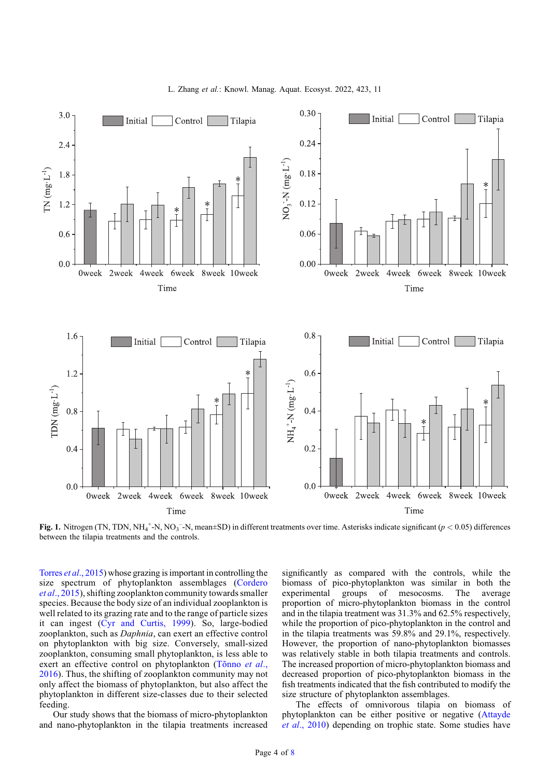<span id="page-3-0"></span>

**Fig. 1.** Nitrogen (TN, TDN, NH<sub>4</sub><sup>+</sup>-N, NO<sub>3</sub><sup>-</sup>-N, mean $\pm$ SD) in different treatments over time. Asterisks indicate significant ( $p < 0.05$ ) differences between the tilania treatments and the controls between the tilapia treatments and the controls.

Torres et al[., 2015](#page-6-0)) whose grazing is important in controlling the size spectrum of phytoplankton assemblages ([Cordero](#page-5-0) et al[., 2015](#page-5-0)), shifting zooplankton community towards smaller species. Because the body size of an individual zooplankton is well related to its grazing rate and to the range of particle sizes it can ingest [\(Cyr and Curtis, 1999](#page-5-0)). So, large-bodied zooplankton, such as Daphnia, can exert an effective control on phytoplankton with big size. Conversely, small-sized zooplankton, consuming small phytoplankton, is less able to exert an effective control on phytoplankton ([Tõnno](#page-6-0) et al., [2016\)](#page-6-0). Thus, the shifting of zooplankton community may not only affect the biomass of phytoplankton, but also affect the phytoplankton in different size-classes due to their selected feeding.

Our study shows that the biomass of micro-phytoplankton and nano-phytoplankton in the tilapia treatments increased significantly as compared with the controls, while the biomass of pico-phytoplankton was similar in both the experimental groups of mesocosms. The average proportion of micro-phytoplankton biomass in the control and in the tilapia treatment was 31.3% and 62.5% respectively, while the proportion of pico-phytoplankton in the control and in the tilapia treatments was 59.8% and 29.1%, respectively. However, the proportion of nano-phytoplankton biomasses was relatively stable in both tilapia treatments and controls. The increased proportion of micro-phytoplankton biomass and decreased proportion of pico-phytoplankton biomass in the fish treatments indicated that the fish contributed to modify the size structure of phytoplankton assemblages.

The effects of omnivorous tilapia on biomass of phytoplankton can be either positive or negative [\(Attayde](#page-5-0) et al[., 2010\)](#page-5-0) depending on trophic state. Some studies have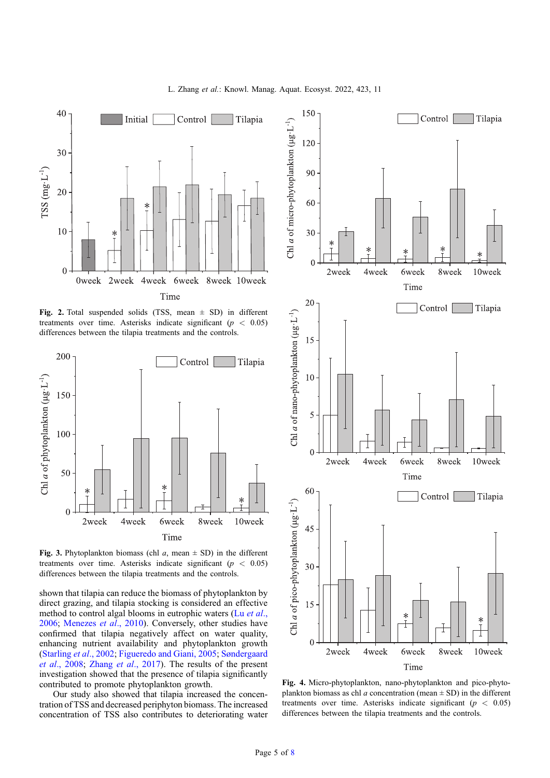<span id="page-4-0"></span>

Fig. 2. Total suspended solids (TSS, mean  $\pm$  SD) in different treatments over time. Asterisks indicate significant ( $p < 0.05$ ) differences between the tilapia treatments and the controls.



Fig. 3. Phytoplankton biomass (chl  $a$ , mean  $\pm$  SD) in the different treatments over time. Asterisks indicate significant ( $p < 0.05$ ) differences between the tilapia treatments and the controls.

shown that tilapia can reduce the biomass of phytoplankton by direct grazing, and tilapia stocking is considered an effective method to control algal blooms in eutrophic waters (Lu *[et al](#page-6-0).*, [2006](#page-6-0); [Menezes](#page-6-0) et al., 2010). Conversely, other studies have confirmed that tilapia negatively affect on water quality, enhancing nutrient availability and phytoplankton growth ([Starling](#page-6-0) et al., 2002; [Figueredo and Giani, 2005;](#page-5-0) [Søndergaard](#page-6-0) et al[., 2008](#page-6-0); Zhang et al[., 2017\)](#page-7-0). The results of the present investigation showed that the presence of tilapia significantly contributed to promote phytoplankton growth.

Our study also showed that tilapia increased the concentration of TSS and decreased periphyton biomass. The increased concentration of TSS also contributes to deteriorating water



Fig. 4. Micro-phytoplankton, nano-phytoplankton and pico-phytoplankton biomass as chl a concentration (mean  $\pm$  SD) in the different treatments over time. Asterisks indicate significant ( $p < 0.05$ ) differences between the tilapia treatments and the controls.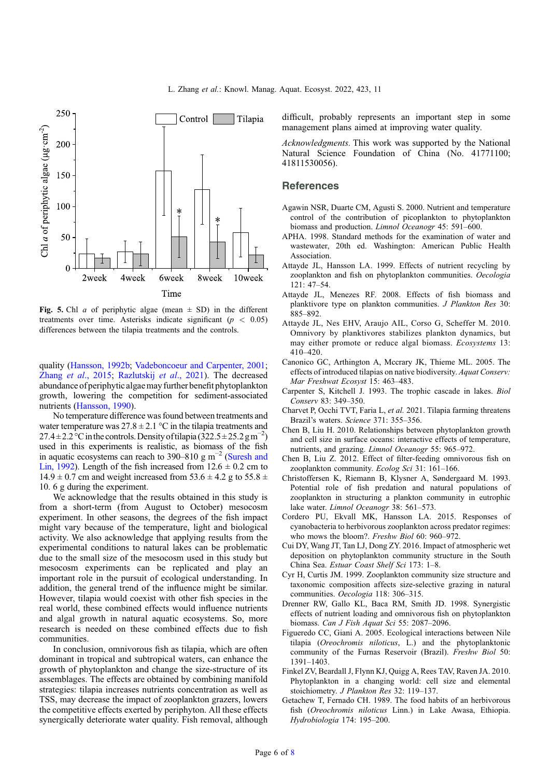<span id="page-5-0"></span>

Fig. 5. Chl *a* of periphytic algae (mean  $\pm$  SD) in the different treatments over time. Asterisks indicate significant ( $p < 0.05$ ) differences between the tilapia treatments and the controls.

quality [\(Hansson, 1992b](#page-6-0); [Vadeboncoeur and Carpenter, 2001](#page-7-0); Zhang et al[., 2015;](#page-7-0) [Razlutskij](#page-6-0) et al., 2021). The decreased abundance of periphytic algaemay further benefit phytoplankton growth, lowering the competition for sediment-associated nutrients ([Hansson, 1990\)](#page-6-0).

No temperature difference was found between treatments and water temperature was  $27.8 \pm 2.1$  °C in the tilapia treatments and 27.4 ± 2.2 °C in the controls. Density of tilapia (322.5 ± 25.2 g m<sup>-2</sup>) used in this experiments is realistic, as biomass of the fish in aquatic ecosystems can reach to 390–810 g  $m^{-2}$  ([Suresh and](#page-6-0) [Lin, 1992\)](#page-6-0). Length of the fish increased from  $12.6 \pm 0.2$  cm to  $14.9 \pm 0.7$  cm and weight increased from  $53.6 \pm 4.2$  g to  $55.8 \pm 1.6$ 10. 6 g during the experiment.

We acknowledge that the results obtained in this study is from a short-term (from August to October) mesocosm experiment. In other seasons, the degrees of the fish impact might vary because of the temperature, light and biological activity. We also acknowledge that applying results from the experimental conditions to natural lakes can be problematic due to the small size of the mesocosm used in this study but mesocosm experiments can be replicated and play an important role in the pursuit of ecological understanding. In addition, the general trend of the influence might be similar. However, tilapia would coexist with other fish species in the real world, these combined effects would influence nutrients and algal growth in natural aquatic ecosystems. So, more research is needed on these combined effects due to fish communities.

In conclusion, omnivorous fish as tilapia, which are often dominant in tropical and subtropical waters, can enhance the growth of phytoplankton and change the size-structure of its assemblages. The effects are obtained by combining manifold strategies: tilapia increases nutrients concentration as well as TSS, may decrease the impact of zooplankton grazers, lowers the competitive effects exerted by periphyton. All these effects synergically deteriorate water quality. Fish removal, although

difficult, probably represents an important step in some management plans aimed at improving water quality.

Acknowledgments. This work was supported by the National Natural Science Foundation of China (No. 41771100; 41811530056).

# **References**

- Agawin NSR, Duarte CM, Agusti S. 2000. Nutrient and temperature control of the contribution of picoplankton to phytoplankton biomass and production. *Limnol Oceanogr* 45: 591-600.
- APHA. 1998. Standard methods for the examination of water and wastewater, 20th ed. Washington: American Public Health Association.
- Attayde JL, Hansson LA. 1999. Effects of nutrient recycling by zooplankton and fish on phytoplankton communities. Oecologia 121: 47–54.
- Attayde JL, Menezes RF. 2008. Effects of fish biomass and planktivore type on plankton communities. J Plankton Res 30: 885–892.
- Attayde JL, Nes EHV, Araujo AIL, Corso G, Scheffer M. 2010. Omnivory by planktivores stabilizes plankton dynamics, but may either promote or reduce algal biomass. Ecosystems 13: 410–420.
- Canonico GC, Arthington A, Mccrary JK, Thieme ML. 2005. The effects of introduced tilapias on native biodiversity. Aquat Conserv: Mar Freshwat Ecosyst 15: 463–483.
- Carpenter S, Kitchell J. 1993. The trophic cascade in lakes. Biol Conserv 83: 349–350.
- Charvet P, Occhi TVT, Faria L, et al. 2021. Tilapia farming threatens Brazil's waters. Science 371: 355–356.
- Chen B, Liu H. 2010. Relationships between phytoplankton growth and cell size in surface oceans: interactive effects of temperature, nutrients, and grazing. Limnol Oceanogr 55: 965–972.
- Chen B, Liu Z. 2012. Effect of filter-feeding omnivorous fish on zooplankton community. Ecolog Sci 31: 161-166.
- Christoffersen K, Riemann B, Klysner A, Søndergaard M. 1993. Potential role of fish predation and natural populations of zooplankton in structuring a plankton community in eutrophic lake water. Limnol Oceanogr 38: 561-573.
- Cordero PU, Ekvall MK, Hansson LA. 2015. Responses of cyanobacteria to herbivorous zooplankton across predator regimes: who mows the bloom?. Freshw Biol 60: 960–972.
- Cui DY, Wang JT, Tan LJ, Dong ZY. 2016. Impact of atmospheric wet deposition on phytoplankton community structure in the South China Sea. Estuar Coast Shelf Sci 173: 1–8.
- Cyr H, Curtis JM. 1999. Zooplankton community size structure and taxonomic composition affects size-selective grazing in natural communities. Oecologia 118: 306–315.
- Drenner RW, Gallo KL, Baca RM, Smith JD. 1998. Synergistic effects of nutrient loading and omnivorous fish on phytoplankton biomass. Can J Fish Aquat Sci 55: 2087–2096.
- Figueredo CC, Giani A. 2005. Ecological interactions between Nile tilapia (Oreochromis niloticus, L.) and the phytoplanktonic community of the Furnas Reservoir (Brazil). Freshw Biol 50: 1391–1403.
- Finkel ZV, Beardall J, Flynn KJ, Quigg A, Rees TAV, Raven JA. 2010. Phytoplankton in a changing world: cell size and elemental stoichiometry. J Plankton Res 32: 119–137.
- Getachew T, Fernado CH. 1989. The food habits of an herbivorous fish (Oreochromis niloticus Linn.) in Lake Awasa, Ethiopia. Hydrobiologia 174: 195–200.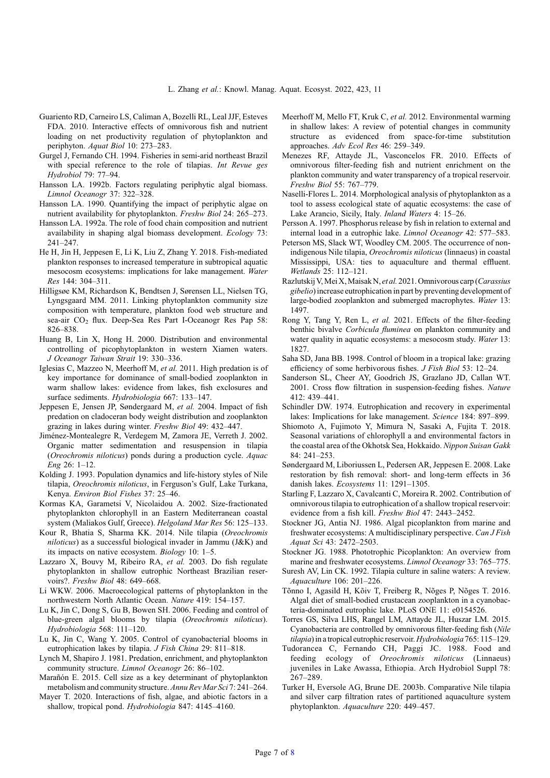- <span id="page-6-0"></span>Guariento RD, Carneiro LS, Caliman A, Bozelli RL, Leal JJF, Esteves FDA. 2010. Interactive effects of omnivorous fish and nutrient loading on net productivity regulation of phytoplankton and periphyton. Aquat Biol 10: 273–283.
- Gurgel J, Fernando CH. 1994. Fisheries in semi-arid northeast Brazil with special reference to the role of tilapias. Int Revue ges Hydrobiol 79: 77–94.
- Hansson LA. 1992b. Factors regulating periphytic algal biomass. Limnol Oceanogr 37: 322–328.
- Hansson LA. 1990. Quantifying the impact of periphytic algae on nutrient availability for phytoplankton. Freshw Biol 24: 265–273.
- Hansson LA. 1992a. The role of food chain composition and nutrient availability in shaping algal biomass development. Ecology 73: 241–247.
- He H, Jin H, Jeppesen E, Li K, Liu Z, Zhang Y. 2018. Fish-mediated plankton responses to increased temperature in subtropical aquatic mesocosm ecosystems: implications for lake management. Water Res 144: 304–311.
- Hilligsøe KM, Richardson K, Bendtsen J, Sørensen LL, Nielsen TG, Lyngsgaard MM. 2011. Linking phytoplankton community size composition with temperature, plankton food web structure and sea-air CO<sub>2</sub> flux. Deep-Sea Res Part I-Oceanogr Res Pap 58: 826–838.
- Huang B, Lin X, Hong H. 2000. Distribution and environmental controlling of picophytoplankton in western Xiamen waters. J Oceanogr Taiwan Strait 19: 330–336.
- Iglesias C, Mazzeo N, Meerhoff M, et al. 2011. High predation is of key importance for dominance of small-bodied zooplankton in warm shallow lakes: evidence from lakes, fish exclosures and surface sediments. Hydrobiologia 667: 133–147.
- Jeppesen E, Jensen JP, Søndergaard M, et al. 2004. Impact of fish predation on cladoceran body weight distribution and zooplankton grazing in lakes during winter. Freshw Biol 49: 432–447.
- Jiménez-Montealegre R, Verdegem M, Zamora JE, Verreth J. 2002. Organic matter sedimentation and resuspension in tilapia (Oreochromis niloticus) ponds during a production cycle. Aquac Eng 26: 1–12.
- Kolding J. 1993. Population dynamics and life-history styles of Nile tilapia, Oreochromis niloticus, in Ferguson's Gulf, Lake Turkana, Kenya. Environ Biol Fishes 37: 25–46.
- Kormas KA, Garametsi V, Nicolaidou A. 2002. Size-fractionated phytoplankton chlorophyll in an Eastern Mediterranean coastal system (Maliakos Gulf, Greece). Helgoland Mar Res 56: 125–133.
- Kour R, Bhatia S, Sharma KK. 2014. Nile tilapia (Oreochromis niloticus) as a successful biological invader in Jammu (J&K) and its impacts on native ecosystem. Biology 10: 1–5.
- Lazzaro X, Bouvy M, Ribeiro RA, et al. 2003. Do fish regulate phytoplankton in shallow eutrophic Northeast Brazilian reservoirs?. Freshw Biol 48: 649–668.
- Li WKW. 2006. Macroecological patterns of phytoplankton in the northwestern North Atlantic Ocean. Nature 419: 154–157.
- Lu K, Jin C, Dong S, Gu B, Bowen SH. 2006. Feeding and control of blue-green algal blooms by tilapia (Oreochromis niloticus). Hydrobiologia 568: 111–120.
- Lu K, Jin C, Wang Y. 2005. Control of cyanobacterial blooms in eutrophication lakes by tilapia. J Fish China 29: 811-818.
- Lynch M, Shapiro J. 1981. Predation, enrichment, and phytoplankton community structure. Limnol Oceanogr 26: 86-102.
- Marañón E. 2015. Cell size as a key determinant of phytoplankton metabolism and community structure. Annu Rev Mar Sci 7: 241-264.
- Mayer T. 2020. Interactions of fish, algae, and abiotic factors in a shallow, tropical pond. Hydrobiologia 847: 4145–4160.
- Meerhoff M, Mello FT, Kruk C, et al. 2012. Environmental warming in shallow lakes: A review of potential changes in community structure as evidenced from space-for-time substitution approaches. Adv Ecol Res 46: 259–349.
- Menezes RF, Attayde JL, Vasconcelos FR. 2010. Effects of omnivorous filter-feeding fish and nutrient enrichment on the plankton community and water transparency of a tropical reservoir. Freshw Biol 55: 767–779.
- Naselli-Flores L. 2014. Morphological analysis of phytoplankton as a tool to assess ecological state of aquatic ecosystems: the case of Lake Arancio, Sicily, Italy. Inland Waters 4: 15–26.
- Persson A. 1997. Phosphorus release by fish in relation to external and internal load in a eutrophic lake. Limnol Oceanogr 42: 577–583.
- Peterson MS, Slack WT, Woodley CM. 2005. The occurrence of nonindigenous Nile tilapia, Oreochromis niloticus (linnaeus) in coastal Mississippi, USA: ties to aquaculture and thermal effluent. Wetlands 25: 112–121.
- Razlutskij V, Mei X, Maisak N, et al. 2021. Omnivorous carp (Carassius gibelio) increase eutrophication in part by preventing development of large-bodied zooplankton and submerged macrophytes. Water 13: 1497.
- Rong Y, Tang Y, Ren L, et al. 2021. Effects of the filter-feeding benthic bivalve Corbicula fluminea on plankton community and water quality in aquatic ecosystems: a mesocosm study. Water 13: 1827.
- Saha SD, Jana BB. 1998. Control of bloom in a tropical lake: grazing efficiency of some herbivorous fishes. J Fish Biol 53: 12–24.
- Sanderson SL, Cheer AY, Goodrich JS, Grazlano JD, Callan WT. 2001. Cross flow filtration in suspension-feeding fishes. Nature 412: 439–441.
- Schindler DW. 1974. Eutrophication and recovery in experimental lakes: Implications for lake management. Science 184: 897–899.
- Shiomoto A, Fujimoto Y, Mimura N, Sasaki A, Fujita T. 2018. Seasonal variations of chlorophyll a and environmental factors in the coastal area of the Okhotsk Sea, Hokkaido. Nippon Suisan Gakk 84: 241–253.
- Søndergaard M, Liboriussen L, Pedersen AR, Jeppesen E. 2008. Lake restoration by fish removal: short- and long-term effects in 36 danish lakes. Ecosystems 11: 1291–1305.
- Starling F, Lazzaro X, Cavalcanti C, Moreira R. 2002. Contribution of omnivorous tilapia to eutrophication of a shallow tropical reservoir: evidence from a fish kill. Freshw Biol 47: 2443–2452.
- Stockner JG, Antia NJ. 1986. Algal picoplankton from marine and freshwater ecosystems: A multidisciplinary perspective. Can J Fish Aquat Sci 43: 2472–2503.
- Stockner JG. 1988. Phototrophic Picoplankton: An overview from marine and freshwater ecosystems. Limnol Oceanogr 33: 765–775.
- Suresh AV, Lin CK. 1992. Tilapia culture in saline waters: A review. Aquaculture 106: 201–226.
- Tõnno I, Agasild H, Kõiv T, Freiberg R, Nõges P, Nõges T. 2016. Algal diet of small-bodied crustacean zooplankton in a cyanobacteria-dominated eutrophic lake. PLoS ONE 11: e0154526.
- Torres GS, Silva LHS, Rangel LM, Attayde JL, Huszar LM. 2015. Cyanobacteria are controlled by omnivorous filter-feeding fish (Nile tilapia) in a tropical eutrophic reservoir. Hydrobiologia 765: 115-129.
- Tudorancea C, Fernando CH, Paggi JC. 1988. Food and feeding ecology of Oreochromis niloticus (Linnaeus) juveniles in Lake Awassa, Ethiopia. Arch Hydrobiol Suppl 78: 267–289.
- Turker H, Eversole AG, Brune DE. 2003b. Comparative Nile tilapia and silver carp filtration rates of partitioned aquaculture system phytoplankton. Aquaculture 220: 449–457.